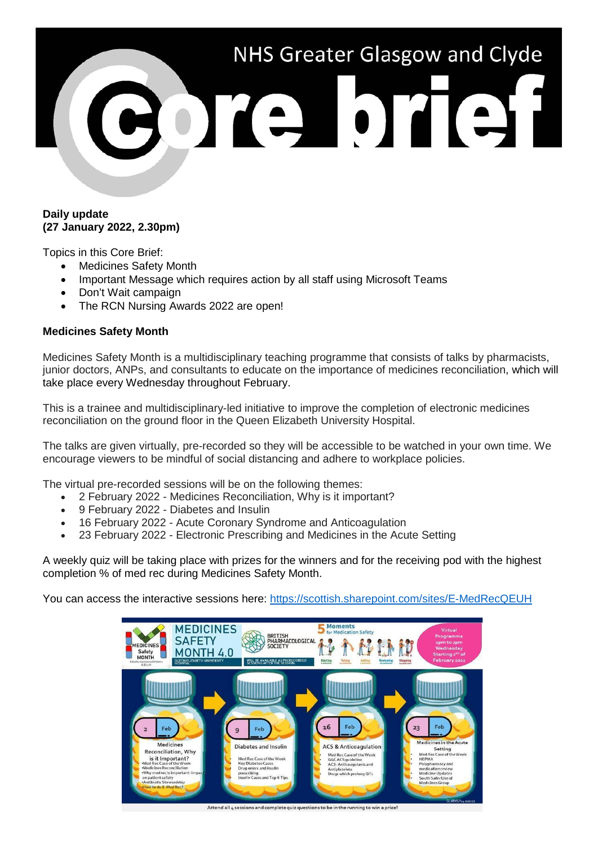

## **Daily update (27 January 2022, 2.30pm)**

Topics in this Core Brief:

- Medicines Safety Month
- Important Message which requires action by all staff using Microsoft Teams
- Don't Wait campaign
- The RCN Nursing Awards 2022 are open!

# **Medicines Safety Month**

Medicines Safety Month is a multidisciplinary teaching programme that consists of talks by pharmacists, junior doctors, ANPs, and consultants to educate on the importance of medicines reconciliation, which will take place every Wednesday throughout February.

This is a trainee and multidisciplinary-led initiative to improve the completion of electronic medicines reconciliation on the ground floor in the Queen Elizabeth University Hospital.

The talks are given virtually, pre-recorded so they will be accessible to be watched in your own time. We encourage viewers to be mindful of social distancing and adhere to workplace policies.

The virtual pre-recorded sessions will be on the following themes:

- 2 February 2022 Medicines Reconciliation, Why is it important?
- 9 February 2022 Diabetes and Insulin
- 16 February 2022 Acute Coronary Syndrome and Anticoagulation
- 23 February 2022 Electronic Prescribing and Medicines in the Acute Setting

A weekly quiz will be taking place with prizes for the winners and for the receiving pod with the highest completion % of med rec during Medicines Safety Month.

You can access the interactive sessions here:<https://scottish.sharepoint.com/sites/E-MedRecQEUH>



Attend all 4 sessions and complete quiz questions to be in the running to win a prize!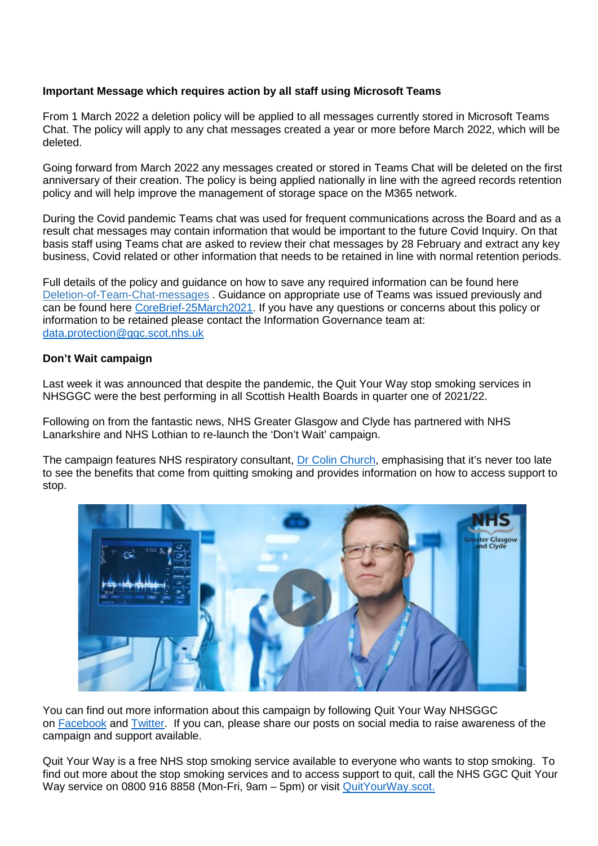# **Important Message which requires action by all staff using Microsoft Teams**

From 1 March 2022 a deletion policy will be applied to all messages currently stored in Microsoft Teams Chat. The policy will apply to any chat messages created a year or more before March 2022, which will be deleted.

Going forward from March 2022 any messages created or stored in Teams Chat will be deleted on the first anniversary of their creation. The policy is being applied nationally in line with the agreed records retention policy and will help improve the management of storage space on the M365 network.

During the Covid pandemic Teams chat was used for frequent communications across the Board and as a result chat messages may contain information that would be important to the future Covid Inquiry. On that basis staff using Teams chat are asked to review their chat messages by 28 February and extract any key business, Covid related or other information that needs to be retained in line with normal retention periods.

Full details of the policy and guidance on how to save any required information can be found here [Deletion-of-Team-Chat-messages](https://scottish.sharepoint.com/sites/NHSSLearningPathways/SitePages/Deletion-of-Team-Chat-messages.aspx?OR=Teams-HL&CT=1641901527643) . Guidance on appropriate use of Teams was issued previously and can be found here [CoreBrief-25March2021.](https://www.nhsggc.org.uk/media/266010/063-core-brief-25-march-2021-daily-update.pdf) If you have any questions or concerns about this policy or information to be retained please contact the Information Governance team at: [data.protection@ggc.scot.nhs.uk](mailto:data.protection@ggc.scot.nhs.uk)

## **Don't Wait campaign**

Last week it was announced that despite the pandemic, the Quit Your Way stop smoking services in NHSGGC were the best performing in all Scottish Health Boards in quarter one of 2021/22.

Following on from the fantastic news, NHS Greater Glasgow and Clyde has partnered with NHS Lanarkshire and NHS Lothian to re-launch the 'Don't Wait' campaign.

The campaign features NHS respiratory consultant, [Dr Colin Church,](https://www.youtube.com/watch?v=ZnS72s711eA) emphasising that it's never too late to see the benefits that come from quitting smoking and provides information on how to access support to stop.



You can find out more information about this campaign by following Quit Your Way NHSGGC on [Facebook](https://www.facebook.com/quityourwaynhsggc) and [Twitter.](https://twitter.com/QYWGGC) If you can, please share our posts on social media to raise awareness of the campaign and support available.

Quit Your Way is a free NHS stop smoking service available to everyone who wants to stop smoking. To find out more about the stop smoking services and to access support to quit, call the NHS GGC Quit Your Way service on 0800 916 8858 (Mon-Fri, 9am – 5pm) or visit [QuitYourWay.scot.](https://www.nhsinform.scot/campaigns/quit-your-way-scotland?utm_medium=301&utm_source=quityourway.scot)